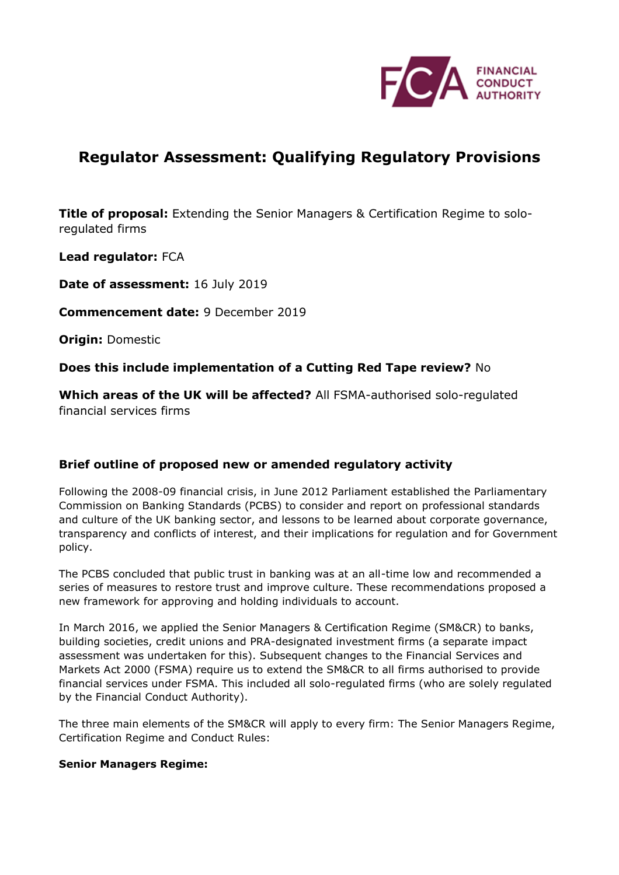

# **Regulator Assessment: Qualifying Regulatory Provisions**

**Title of proposal:** Extending the Senior Managers & Certification Regime to soloregulated firms

**Lead regulator:** FCA

**Date of assessment:** 16 July 2019

**Commencement date:** 9 December 2019

**Origin:** Domestic

**Does this include implementation of a Cutting Red Tape review?** No

**Which areas of the UK will be affected?** All FSMA-authorised solo-regulated financial services firms

### **Brief outline of proposed new or amended regulatory activity**

Following the 2008-09 financial crisis, in June 2012 Parliament established the Parliamentary Commission on Banking Standards (PCBS) to consider and report on professional standards and culture of the UK banking sector, and lessons to be learned about corporate governance, transparency and conflicts of interest, and their implications for regulation and for Government policy.

The PCBS concluded that public trust in banking was at an all-time low and recommended a series of measures to restore trust and improve culture. These recommendations proposed a new framework for approving and holding individuals to account.

In March 2016, we applied the Senior Managers & Certification Regime (SM&CR) to banks, building societies, credit unions and PRA-designated investment firms (a separate impact assessment was undertaken for this). Subsequent changes to the Financial Services and Markets Act 2000 (FSMA) require us to extend the SM&CR to all firms authorised to provide financial services under FSMA. This included all solo-regulated firms (who are solely regulated by the Financial Conduct Authority).

The three main elements of the SM&CR will apply to every firm: The Senior Managers Regime, Certification Regime and Conduct Rules:

### **Senior Managers Regime:**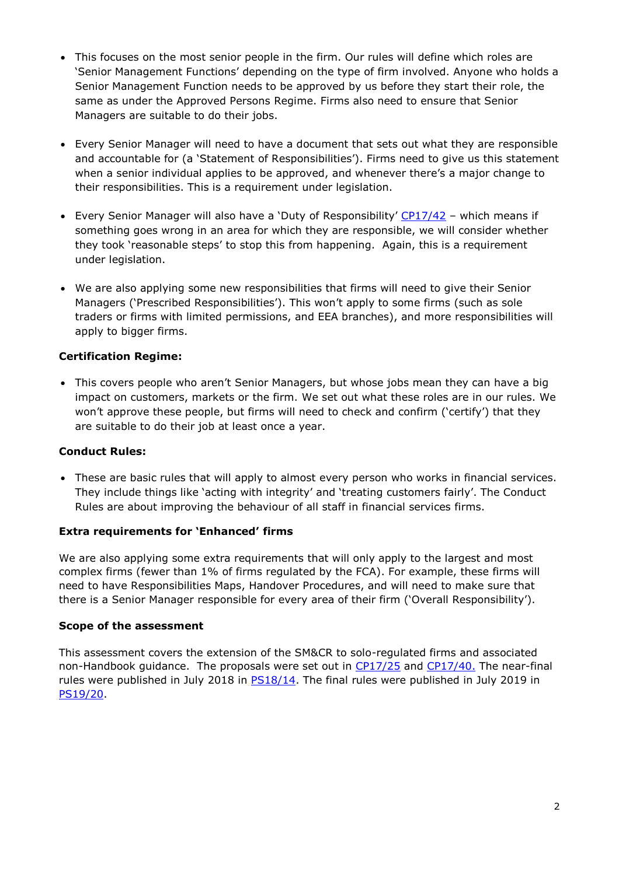- This focuses on the most senior people in the firm. Our rules will define which roles are 'Senior Management Functions' depending on the type of firm involved. Anyone who holds a Senior Management Function needs to be approved by us before they start their role, the same as under the Approved Persons Regime. Firms also need to ensure that Senior Managers are suitable to do their jobs.
- Every Senior Manager will need to have a document that sets out what they are responsible and accountable for (a 'Statement of Responsibilities'). Firms need to give us this statement when a senior individual applies to be approved, and whenever there's a major change to their responsibilities. This is a requirement under legislation.
- Every Senior Manager will also have a 'Duty of Responsibility' [CP17/42](https://www.fca.org.uk/publication/consultation/cp17-42.pdf) which means if something goes wrong in an area for which they are responsible, we will consider whether they took 'reasonable steps' to stop this from happening. Again, this is a requirement under legislation.
- We are also applying some new responsibilities that firms will need to give their Senior Managers ('Prescribed Responsibilities'). This won't apply to some firms (such as sole traders or firms with limited permissions, and EEA branches), and more responsibilities will apply to bigger firms.

### **Certification Regime:**

• This covers people who aren't Senior Managers, but whose jobs mean they can have a big impact on customers, markets or the firm. We set out what these roles are in our rules. We won't approve these people, but firms will need to check and confirm ('certify') that they are suitable to do their job at least once a year.

### **Conduct Rules:**

• These are basic rules that will apply to almost every person who works in financial services. They include things like 'acting with integrity' and 'treating customers fairly'. The Conduct Rules are about improving the behaviour of all staff in financial services firms.

### **Extra requirements for 'Enhanced' firms**

We are also applying some extra requirements that will only apply to the largest and most complex firms (fewer than 1% of firms regulated by the FCA). For example, these firms will need to have Responsibilities Maps, Handover Procedures, and will need to make sure that there is a Senior Manager responsible for every area of their firm ('Overall Responsibility').

### **Scope of the assessment**

This assessment covers the extension of the SM&CR to solo-regulated firms and associated non-Handbook guidance. The proposals were set out in [CP17/25](https://www.fca.org.uk/publication/consultation/cp17-25.pdf) and [CP17/40.](https://www.fca.org.uk/publication/consultation/cp17-40.pdf) The near-final rules were published in July 2018 in **PS18/14**. The final rules were published in July 2019 in [PS19/20.](https://www.fca.org.uk/publication/policy/ps19-20.pdf)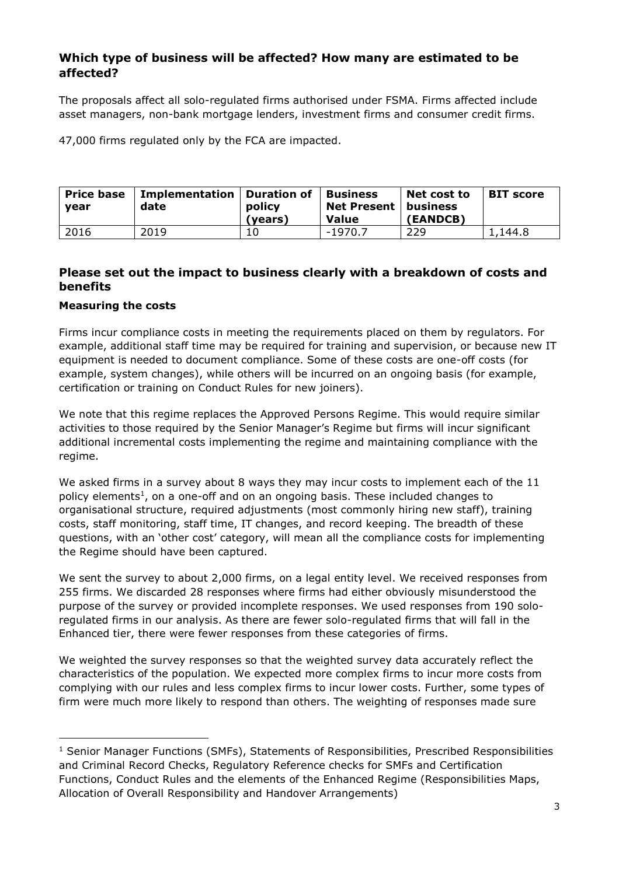# **Which type of business will be affected? How many are estimated to be affected?**

The proposals affect all solo-regulated firms authorised under FSMA. Firms affected include asset managers, non-bank mortgage lenders, investment firms and consumer credit firms.

47,000 firms regulated only by the FCA are impacted.

| <b>Price base</b><br>vear | Implementation   Duration of<br>date | policy<br>(years) | <b>Business</b><br>Net Present   business<br><b>Value</b> | Net cost to<br><b>(EANDCB)</b> | <b>BIT score</b> |
|---------------------------|--------------------------------------|-------------------|-----------------------------------------------------------|--------------------------------|------------------|
| 2016                      | 2019                                 |                   | -1970.7                                                   | 229                            | 1,144.8          |

# **Please set out the impact to business clearly with a breakdown of costs and benefits**

#### **Measuring the costs**

-

Firms incur compliance costs in meeting the requirements placed on them by regulators. For example, additional staff time may be required for training and supervision, or because new IT equipment is needed to document compliance. Some of these costs are one-off costs (for example, system changes), while others will be incurred on an ongoing basis (for example, certification or training on Conduct Rules for new joiners).

We note that this regime replaces the Approved Persons Regime. This would require similar activities to those required by the Senior Manager's Regime but firms will incur significant additional incremental costs implementing the regime and maintaining compliance with the regime.

We asked firms in a survey about 8 ways they may incur costs to implement each of the 11 policy elements<sup>1</sup>, on a one-off and on an ongoing basis. These included changes to organisational structure, required adjustments (most commonly hiring new staff), training costs, staff monitoring, staff time, IT changes, and record keeping. The breadth of these questions, with an 'other cost' category, will mean all the compliance costs for implementing the Regime should have been captured.

We sent the survey to about 2,000 firms, on a legal entity level. We received responses from 255 firms. We discarded 28 responses where firms had either obviously misunderstood the purpose of the survey or provided incomplete responses. We used responses from 190 soloregulated firms in our analysis. As there are fewer solo-regulated firms that will fall in the Enhanced tier, there were fewer responses from these categories of firms.

We weighted the survey responses so that the weighted survey data accurately reflect the characteristics of the population. We expected more complex firms to incur more costs from complying with our rules and less complex firms to incur lower costs. Further, some types of firm were much more likely to respond than others. The weighting of responses made sure

 $<sup>1</sup>$  Senior Manager Functions (SMFs), Statements of Responsibilities, Prescribed Responsibilities</sup> and Criminal Record Checks, Regulatory Reference checks for SMFs and Certification Functions, Conduct Rules and the elements of the Enhanced Regime (Responsibilities Maps, Allocation of Overall Responsibility and Handover Arrangements)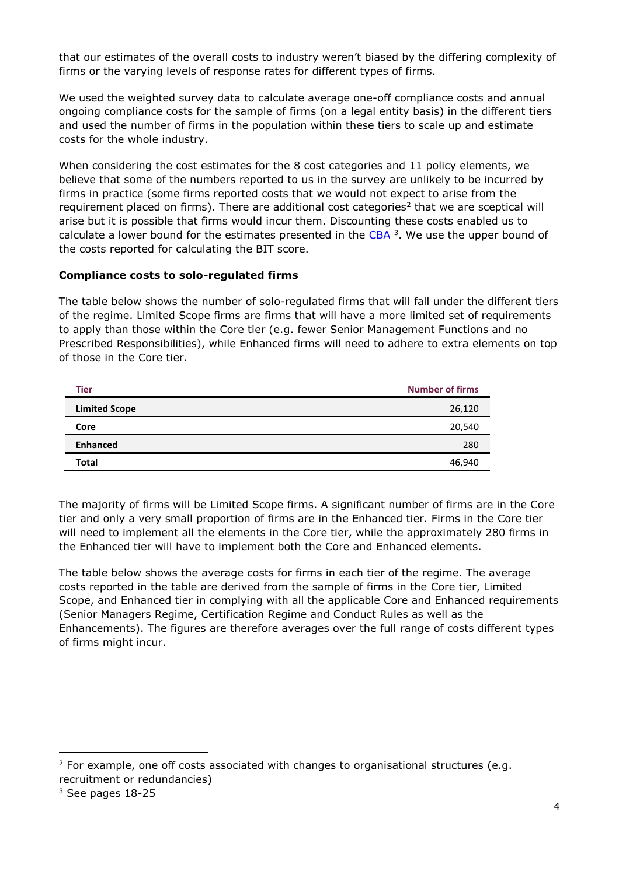that our estimates of the overall costs to industry weren't biased by the differing complexity of firms or the varying levels of response rates for different types of firms.

We used the weighted survey data to calculate average one-off compliance costs and annual ongoing compliance costs for the sample of firms (on a legal entity basis) in the different tiers and used the number of firms in the population within these tiers to scale up and estimate costs for the whole industry.

When considering the cost estimates for the 8 cost categories and 11 policy elements, we believe that some of the numbers reported to us in the survey are unlikely to be incurred by firms in practice (some firms reported costs that we would not expect to arise from the requirement placed on firms). There are additional cost categories<sup>2</sup> that we are sceptical will arise but it is possible that firms would incur them. Discounting these costs enabled us to calculate a lower bound for the estimates presented in the [CBA](https://www.fca.org.uk/publication/research/cost-benefit-analysis.pdf) <sup>3</sup>. We use the upper bound of the costs reported for calculating the BIT score.

#### **Compliance costs to solo-regulated firms**

The table below shows the number of solo-regulated firms that will fall under the different tiers of the regime. Limited Scope firms are firms that will have a more limited set of requirements to apply than those within the Core tier (e.g. fewer Senior Management Functions and no Prescribed Responsibilities), while Enhanced firms will need to adhere to extra elements on top of those in the Core tier.

| <b>Tier</b>          | <b>Number of firms</b> |
|----------------------|------------------------|
| <b>Limited Scope</b> | 26,120                 |
| Core                 | 20,540                 |
| <b>Enhanced</b>      | 280                    |
| <b>Total</b>         | 46,940                 |

The majority of firms will be Limited Scope firms. A significant number of firms are in the Core tier and only a very small proportion of firms are in the Enhanced tier. Firms in the Core tier will need to implement all the elements in the Core tier, while the approximately 280 firms in the Enhanced tier will have to implement both the Core and Enhanced elements.

The table below shows the average costs for firms in each tier of the regime. The average costs reported in the table are derived from the sample of firms in the Core tier, Limited Scope, and Enhanced tier in complying with all the applicable Core and Enhanced requirements (Senior Managers Regime, Certification Regime and Conduct Rules as well as the Enhancements). The figures are therefore averages over the full range of costs different types of firms might incur.

 $2$  For example, one off costs associated with changes to organisational structures (e.g. recruitment or redundancies)

 $3$  See pages 18-25